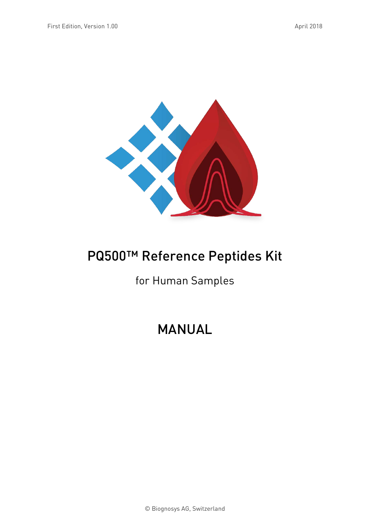

# PQ500™ Reference Peptides Kit

### for Human Samples

# MANUAL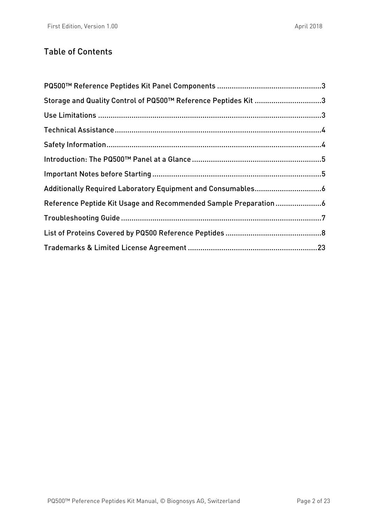#### Table of Contents

| Storage and Quality Control of PQ500™ Reference Peptides Kit 3 |  |
|----------------------------------------------------------------|--|
|                                                                |  |
|                                                                |  |
|                                                                |  |
|                                                                |  |
|                                                                |  |
|                                                                |  |
|                                                                |  |
|                                                                |  |
|                                                                |  |
|                                                                |  |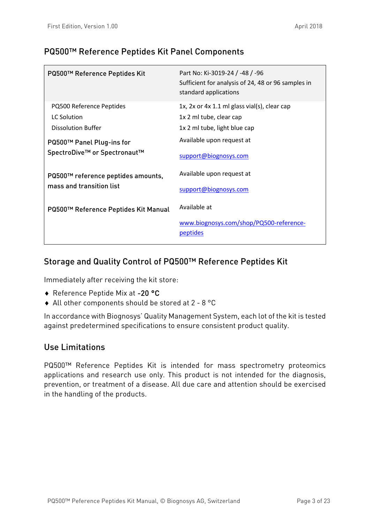#### <span id="page-2-0"></span>PQ500™ Reference Peptides Kit Panel Components

| PQ500™ Reference Peptides Kit        | Part No: Ki-3019-24 / -48 / -96<br>Sufficient for analysis of 24, 48 or 96 samples in<br>standard applications |
|--------------------------------------|----------------------------------------------------------------------------------------------------------------|
| PQ500 Reference Peptides             | 1x, 2x or 4x 1.1 ml glass vial(s), clear cap                                                                   |
| LC Solution                          | 1x 2 ml tube, clear cap                                                                                        |
| <b>Dissolution Buffer</b>            | 1x 2 ml tube, light blue cap                                                                                   |
| PQ500™ Panel Plug-ins for            | Available upon request at                                                                                      |
| SpectroDive™ or Spectronaut™         | support@biognosys.com                                                                                          |
| PQ500™ reference peptides amounts,   | Available upon request at                                                                                      |
| mass and transition list             | support@biognosys.com                                                                                          |
| PQ500™ Reference Peptides Kit Manual | Available at                                                                                                   |
|                                      | www.biognosys.com/shop/PQ500-reference-<br>peptides                                                            |

#### <span id="page-2-1"></span>Storage and Quality Control of PQ500™ Reference Peptides Kit

Immediately after receiving the kit store:

- ♦ Reference Peptide Mix at -20 °C
- ♦ All other components should be stored at 2 8 °C

In accordance with Biognosys' Quality Management System, each lot of the kit is tested against predetermined specifications to ensure consistent product quality.

#### <span id="page-2-2"></span>Use Limitations

PQ500™ Reference Peptides Kit is intended for mass spectrometry proteomics applications and research use only. This product is not intended for the diagnosis, prevention, or treatment of a disease. All due care and attention should be exercised in the handling of the products.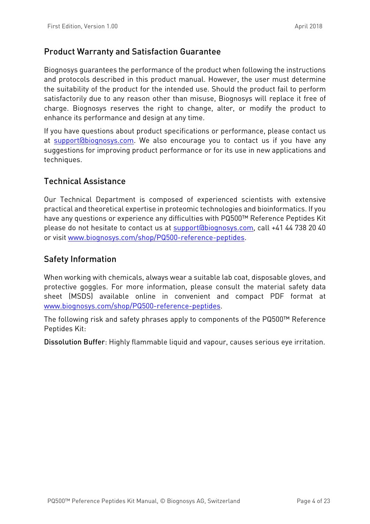#### Product Warranty and Satisfaction Guarantee

Biognosys guarantees the performance of the product when following the instructions and protocols described in this product manual. However, the user must determine the suitability of the product for the intended use. Should the product fail to perform satisfactorily due to any reason other than misuse, Biognosys will replace it free of charge. Biognosys reserves the right to change, alter, or modify the product to enhance its performance and design at any time.

If you have questions about product specifications or performance, please contact us at [support@biognosys.com.](mailto:support@biognosys.com) We also encourage you to contact us if you have any suggestions for improving product performance or for its use in new applications and techniques.

#### <span id="page-3-0"></span>Technical Assistance

Our Technical Department is composed of experienced scientists with extensive practical and theoretical expertise in proteomic technologies and bioinformatics. If you have any questions or experience any difficulties with PQ500™ Reference Peptides Kit please do not hesitate to contact us at [support@biognosys.com,](mailto:support@biognosys.com) call +41 44 738 20 40 or visit [www.biognosys.com/shop/PQ500-reference-peptides.](http://www.biognosys.com/shop/pq500-reference-peptides)

#### <span id="page-3-1"></span>Safety Information

When working with chemicals, always wear a suitable lab coat, disposable gloves, and protective goggles. For more information, please consult the material safety data sheet (MSDS) available online in convenient and compact PDF format at [www.biognosys.com/shop/PQ500-reference-peptides.](http://www.biognosys.com/shop/pq500-reference-peptides)

The following risk and safety phrases apply to components of the PQ500™ Reference Peptides Kit:

Dissolution Buffer: Highly flammable liquid and vapour, causes serious eye irritation.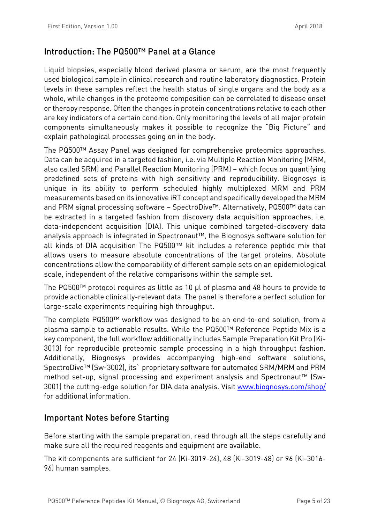#### <span id="page-4-0"></span>Introduction: The PQ500™ Panel at a Glance

Liquid biopsies, especially blood derived plasma or serum, are the most frequently used biological sample in clinical research and routine laboratory diagnostics. Protein levels in these samples reflect the health status of single organs and the body as a whole, while changes in the proteome composition can be correlated to disease onset or therapy response. Often the changes in protein concentrations relative to each other are key indicators of a certain condition. Only monitoring the levels of all major protein components simultaneously makes it possible to recognize the "Big Picture" and explain pathological processes going on in the body.

The PQ500™ Assay Panel was designed for comprehensive proteomics approaches. Data can be acquired in a targeted fashion, i.e. via Multiple Reaction Monitoring (MRM, also called SRM) and Parallel Reaction Monitoring (PRM) – which focus on quantifying predefined sets of proteins with high sensitivity and reproducibility. Biognosys is unique in its ability to perform scheduled highly multiplexed MRM and PRM measurements based on its innovative iRT concept and specifically developed the MRM and PRM signal processing software – SpectroDive™. Alternatively, PQ500™ data can be extracted in a targeted fashion from discovery data acquisition approaches, i.e. data-independent acquisition (DIA). This unique combined targeted-discovery data analysis approach is integrated in Spectronaut™, the Biognosys software solution for all kinds of DIA acquisition The PQ500™ kit includes a reference peptide mix that allows users to measure absolute concentrations of the target proteins. Absolute concentrations allow the comparability of different sample sets on an epidemiological scale, independent of the relative comparisons within the sample set.

The PQ500™ protocol requires as little as 10 µl of plasma and 48 hours to provide to provide actionable clinically-relevant data. The panel is therefore a perfect solution for large-scale experiments requiring high throughput.

The complete PQ500™ workflow was designed to be an end-to-end solution, from a plasma sample to actionable results. While the PQ500™ Reference Peptide Mix is a key component, the full workflow additionally includes Sample Preparation Kit Pro (Ki-3013) for reproducible proteomic sample processing in a high throughput fashion. Additionally, Biognosys provides accompanying high-end software solutions, SpectroDive™ (Sw-3002), its` proprietary software for automated SRM/MRM and PRM method set-up, signal processing and experiment analysis and Spectronaut™ (Sw-3001) the cutting-edge solution for DIA data analysis. Visit [www.biognosys.com/shop/](http://www.biognosys.com/shop/) for additional information.

#### <span id="page-4-1"></span>Important Notes before Starting

Before starting with the sample preparation, read through all the steps carefully and make sure all the required reagents and equipment are available.

The kit components are sufficient for 24 (Ki-3019-24), 48 (Ki-3019-48) or 96 (Ki-3016- 96) human samples.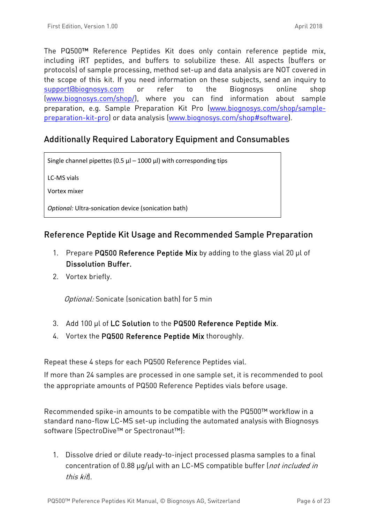The PQ500™ Reference Peptides Kit does only contain reference peptide mix, including iRT peptides, and buffers to solubilize these. All aspects (buffers or protocols) of sample processing, method set-up and data analysis are NOT covered in the scope of this kit. If you need information on these subjects, send an inquiry to [support@biognosys.com](mailto:support@biognosys.com) or refer to the Biognosys online shop [\(www.biognosys.com/shop/\)](http://www.biognosys.com/shop/), where you can find information about sample preparation, e.g. Sample Preparation Kit Pro [\(www.biognosys.com/shop/sample](http://www.biognosys.com/shop/sample-preparation-kit-pro)[preparation-kit-pro\)](http://www.biognosys.com/shop/sample-preparation-kit-pro) or data analysis [\(www.biognosys.com/shop#software\)](http://www.biognosys.com/shop#software).

#### <span id="page-5-0"></span>Additionally Required Laboratory Equipment and Consumables

Single channel pipettes (0.5  $\mu$ l – 1000  $\mu$ l) with corresponding tips

LC-MS vials

Vortex mixer

*Optional:* Ultra-sonication device (sonication bath)

#### <span id="page-5-1"></span>Reference Peptide Kit Usage and Recommended Sample Preparation

- 1. Prepare PQ500 Reference Peptide Mix by adding to the glass vial 20 µl of Dissolution Buffer.
- 2. Vortex briefly.

Optional: Sonicate (sonication bath) for 5 min

- 3. Add 100 µl of LC Solution to the PQ500 Reference Peptide Mix.
- 4. Vortex the PQ500 Reference Peptide Mix thoroughly.

Repeat these 4 steps for each PQ500 Reference Peptides vial.

If more than 24 samples are processed in one sample set, it is recommended to pool the appropriate amounts of PQ500 Reference Peptides vials before usage.

Recommended spike-in amounts to be compatible with the PQ500™ workflow in a standard nano-flow LC-MS set-up including the automated analysis with Biognosys software (SpectroDive™ or Spectronaut™):

1. Dissolve dried or dilute ready-to-inject processed plasma samples to a final concentration of 0.88 µg/µl with an LC-MS compatible buffer (not included in this kit).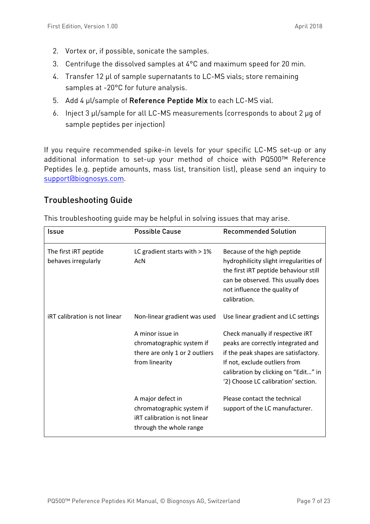- 2. Vortex or, if possible, sonicate the samples.
- 3. Centrifuge the dissolved samples at 4°C and maximum speed for 20 min.
- 4. Transfer 12 µl of sample supernatants to LC-MS vials; store remaining samples at -20°C for future analysis.
- 5. Add 4 µl/sample of Reference Peptide Mix to each LC-MS vial.
- 6. Inject 3 µl/sample for all LC-MS measurements (corresponds to about 2 µg of sample peptides per injection)

If you require recommended spike-in levels for your specific LC-MS set-up or any additional information to set-up your method of choice with PQ500™ Reference Peptides (e.g. peptide amounts, mass list, transition list), please send an inquiry to [support@biognosys.com.](mailto:support@biognosys.com)

#### <span id="page-6-0"></span>Troubleshooting Guide

| Issue                                        | <b>Possible Cause</b>                                                                                      | <b>Recommended Solution</b>                                                                                                                                                                                                    |
|----------------------------------------------|------------------------------------------------------------------------------------------------------------|--------------------------------------------------------------------------------------------------------------------------------------------------------------------------------------------------------------------------------|
| The first iRT peptide<br>behaves irregularly | LC gradient starts with $> 1\%$<br><b>AcN</b>                                                              | Because of the high peptide<br>hydrophilicity slight irregularities of<br>the first IRT peptide behaviour still<br>can be observed. This usually does<br>not influence the quality of<br>calibration.                          |
| <b>iRT</b> calibration is not linear         | Non-linear gradient was used                                                                               | Use linear gradient and LC settings                                                                                                                                                                                            |
|                                              | A minor issue in<br>chromatographic system if<br>there are only 1 or 2 outliers<br>from linearity          | Check manually if respective iRT<br>peaks are correctly integrated and<br>if the peak shapes are satisfactory.<br>If not, exclude outliers from<br>calibration by clicking on "Edit" in<br>'2) Choose LC calibration' section. |
|                                              | A major defect in<br>chromatographic system if<br>iRT calibration is not linear<br>through the whole range | Please contact the technical<br>support of the LC manufacturer.                                                                                                                                                                |

This troubleshooting guide may be helpful in solving issues that may arise.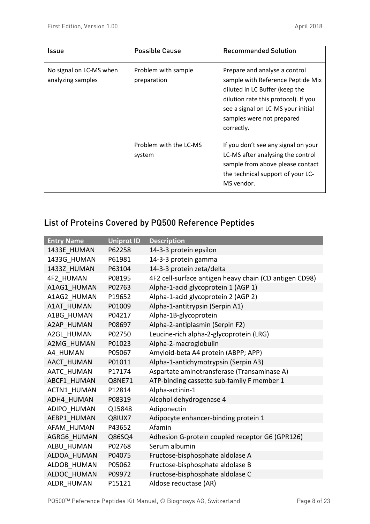| Issue                                        | <b>Possible Cause</b>              | <b>Recommended Solution</b>                                                                                                                                                                                                   |
|----------------------------------------------|------------------------------------|-------------------------------------------------------------------------------------------------------------------------------------------------------------------------------------------------------------------------------|
| No signal on LC-MS when<br>analyzing samples | Problem with sample<br>preparation | Prepare and analyse a control<br>sample with Reference Peptide Mix<br>diluted in LC Buffer (keep the<br>dilution rate this protocol). If you<br>see a signal on LC-MS your initial<br>samples were not prepared<br>correctly. |
|                                              | Problem with the LC-MS<br>system   | If you don't see any signal on your<br>LC-MS after analysing the control<br>sample from above please contact<br>the technical support of your LC-<br>MS vendor.                                                               |

### <span id="page-7-0"></span>List of Proteins Covered by PQ500 Reference Peptides

| <b>Entry Name</b>  | <b>Uniprot ID</b> | <b>Description</b>                                     |
|--------------------|-------------------|--------------------------------------------------------|
| 1433E HUMAN        | P62258            | 14-3-3 protein epsilon                                 |
| 1433G_HUMAN        | P61981            | 14-3-3 protein gamma                                   |
| 1433Z HUMAN        | P63104            | 14-3-3 protein zeta/delta                              |
| 4F2 HUMAN          | P08195            | 4F2 cell-surface antigen heavy chain (CD antigen CD98) |
| A1AG1 HUMAN        | P02763            | Alpha-1-acid glycoprotein 1 (AGP 1)                    |
| A1AG2 HUMAN        | P19652            | Alpha-1-acid glycoprotein 2 (AGP 2)                    |
| A1AT HUMAN         | P01009            | Alpha-1-antitrypsin (Serpin A1)                        |
| A1BG HUMAN         | P04217            | Alpha-1B-glycoprotein                                  |
| A2AP_HUMAN         | P08697            | Alpha-2-antiplasmin (Serpin F2)                        |
| A2GL HUMAN         | P02750            | Leucine-rich alpha-2-glycoprotein (LRG)                |
| A2MG HUMAN         | P01023            | Alpha-2-macroglobulin                                  |
| A4 HUMAN           | P05067            | Amyloid-beta A4 protein (ABPP; APP)                    |
| AACT HUMAN         | P01011            | Alpha-1-antichymotrypsin (Serpin A3)                   |
| AATC HUMAN         | P17174            | Aspartate aminotransferase (Transaminase A)            |
| ABCF1 HUMAN        | Q8NE71            | ATP-binding cassette sub-family F member 1             |
| <b>ACTN1 HUMAN</b> | P12814            | Alpha-actinin-1                                        |
| ADH4 HUMAN         | P08319            | Alcohol dehydrogenase 4                                |
| ADIPO HUMAN        | Q15848            | Adiponectin                                            |
| AEBP1 HUMAN        | Q8IUX7            | Adipocyte enhancer-binding protein 1                   |
| AFAM HUMAN         | P43652            | Afamin                                                 |
| AGRG6 HUMAN        | Q86SQ4            | Adhesion G-protein coupled receptor G6 (GPR126)        |
| ALBU HUMAN         | P02768            | Serum albumin                                          |
| ALDOA HUMAN        | P04075            | Fructose-bisphosphate aldolase A                       |
| ALDOB_HUMAN        | P05062            | Fructose-bisphosphate aldolase B                       |
| ALDOC HUMAN        | P09972            | Fructose-bisphosphate aldolase C                       |
| ALDR HUMAN         | P15121            | Aldose reductase (AR)                                  |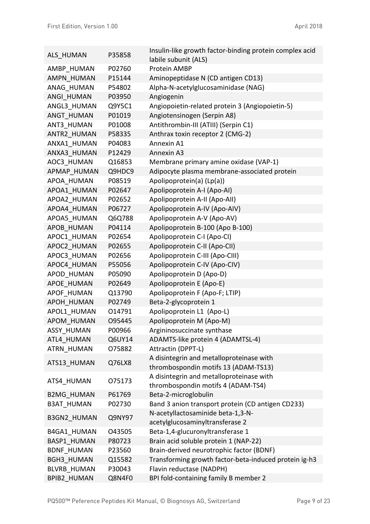| ALS HUMAN          | P35858 | Insulin-like growth factor-binding protein complex acid<br>labile subunit (ALS)  |
|--------------------|--------|----------------------------------------------------------------------------------|
| AMBP HUMAN         | P02760 | Protein AMBP                                                                     |
| AMPN HUMAN         | P15144 | Aminopeptidase N (CD antigen CD13)                                               |
| ANAG HUMAN         | P54802 | Alpha-N-acetylglucosaminidase (NAG)                                              |
| ANGI HUMAN         | P03950 | Angiogenin                                                                       |
| ANGL3_HUMAN        | Q9Y5C1 | Angiopoietin-related protein 3 (Angiopoietin-5)                                  |
| ANGT HUMAN         | P01019 | Angiotensinogen (Serpin A8)                                                      |
| ANT3 HUMAN         | P01008 | Antithrombin-III (ATIII) (Serpin C1)                                             |
| ANTR2 HUMAN        | P58335 | Anthrax toxin receptor 2 (CMG-2)                                                 |
| ANXA1 HUMAN        | P04083 | Annexin A1                                                                       |
| ANXA3 HUMAN        | P12429 | Annexin A3                                                                       |
| AOC3 HUMAN         | Q16853 | Membrane primary amine oxidase (VAP-1)                                           |
| APMAP HUMAN        | Q9HDC9 | Adipocyte plasma membrane-associated protein                                     |
| APOA HUMAN         | P08519 | Apolipoprotein(a) (Lp(a))                                                        |
| APOA1 HUMAN        | P02647 | Apolipoprotein A-I (Apo-AI)                                                      |
| APOA2 HUMAN        | P02652 | Apolipoprotein A-II (Apo-AII)                                                    |
| APOA4 HUMAN        | P06727 | Apolipoprotein A-IV (Apo-AIV)                                                    |
| APOA5 HUMAN        | Q6Q788 | Apolipoprotein A-V (Apo-AV)                                                      |
| APOB HUMAN         | P04114 | Apolipoprotein B-100 (Apo B-100)                                                 |
| APOC1 HUMAN        | P02654 | Apolipoprotein C-I (Apo-CI)                                                      |
| APOC2 HUMAN        | P02655 | Apolipoprotein C-II (Apo-CII)                                                    |
| APOC3 HUMAN        | P02656 | Apolipoprotein C-III (Apo-CIII)                                                  |
| APOC4 HUMAN        | P55056 | Apolipoprotein C-IV (Apo-CIV)                                                    |
| APOD HUMAN         | P05090 | Apolipoprotein D (Apo-D)                                                         |
| APOE HUMAN         | P02649 | Apolipoprotein E (Apo-E)                                                         |
| APOF HUMAN         | Q13790 | Apolipoprotein F (Apo-F; LTIP)                                                   |
| APOH HUMAN         | P02749 | Beta-2-glycoprotein 1                                                            |
| APOL1 HUMAN        | 014791 | Apolipoprotein L1 (Apo-L)                                                        |
| APOM_HUMAN         | 095445 | Apolipoprotein M (Apo-M)                                                         |
| ASSY HUMAN         | P00966 | Argininosuccinate synthase                                                       |
| ATL4 HUMAN         | Q6UY14 | ADAMTS-like protein 4 (ADAMTSL-4)                                                |
| <b>ATRN HUMAN</b>  | 075882 | Attractin (DPPT-L)                                                               |
| ATS13_HUMAN        | Q76LX8 | A disintegrin and metalloproteinase with<br>thrombospondin motifs 13 (ADAM-TS13) |
| ATS4_HUMAN         | 075173 | A disintegrin and metalloproteinase with<br>thrombospondin motifs 4 (ADAM-TS4)   |
| <b>B2MG HUMAN</b>  | P61769 | Beta-2-microglobulin                                                             |
| <b>B3AT HUMAN</b>  | P02730 | Band 3 anion transport protein (CD antigen CD233)                                |
| <b>B3GN2 HUMAN</b> | Q9NY97 | N-acetyllactosaminide beta-1,3-N-<br>acetylglucosaminyltransferase 2             |
| B4GA1 HUMAN        | 043505 | Beta-1,4-glucuronyltransferase 1                                                 |
| <b>BASP1 HUMAN</b> | P80723 | Brain acid soluble protein 1 (NAP-22)                                            |
| <b>BDNF HUMAN</b>  | P23560 | Brain-derived neurotrophic factor (BDNF)                                         |
| <b>BGH3 HUMAN</b>  | Q15582 | Transforming growth factor-beta-induced protein ig-h3                            |
| <b>BLVRB HUMAN</b> | P30043 | Flavin reductase (NADPH)                                                         |
| <b>BPIB2 HUMAN</b> | Q8N4F0 | BPI fold-containing family B member 2                                            |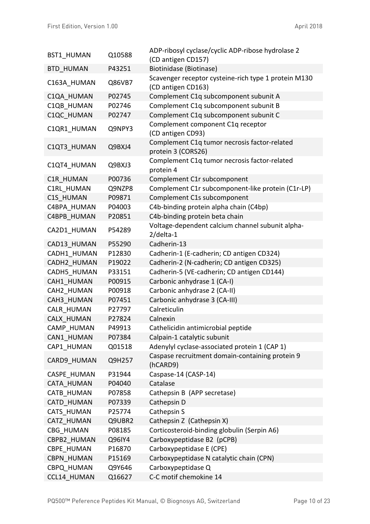| <b>BST1 HUMAN</b>  | Q10588 | ADP-ribosyl cyclase/cyclic ADP-ribose hydrolase 2<br>(CD antigen CD157) |
|--------------------|--------|-------------------------------------------------------------------------|
| <b>BTD HUMAN</b>   | P43251 | Biotinidase (Biotinase)                                                 |
|                    |        | Scavenger receptor cysteine-rich type 1 protein M130                    |
| C163A HUMAN        | Q86VB7 | (CD antigen CD163)                                                      |
| C1QA HUMAN         | P02745 | Complement C1q subcomponent subunit A                                   |
| C1QB HUMAN         | P02746 | Complement C1q subcomponent subunit B                                   |
| C1QC HUMAN         | P02747 | Complement C1q subcomponent subunit C                                   |
| C1QR1 HUMAN        | Q9NPY3 | Complement component C1q receptor<br>(CD antigen CD93)                  |
| C1QT3 HUMAN        | Q9BXJ4 | Complement C1q tumor necrosis factor-related<br>protein 3 (CORS26)      |
| C1QT4 HUMAN        | Q9BXJ3 | Complement C1q tumor necrosis factor-related<br>protein 4               |
| C1R HUMAN          | P00736 | Complement C1r subcomponent                                             |
| C1RL HUMAN         | Q9NZP8 | Complement C1r subcomponent-like protein (C1r-LP)                       |
| C1S HUMAN          | P09871 | Complement C1s subcomponent                                             |
| C4BPA HUMAN        | P04003 | C4b-binding protein alpha chain (C4bp)                                  |
| C4BPB HUMAN        | P20851 | C4b-binding protein beta chain                                          |
| CA2D1 HUMAN        | P54289 | Voltage-dependent calcium channel subunit alpha-<br>$2$ /delta-1        |
| CAD13 HUMAN        | P55290 | Cadherin-13                                                             |
| CADH1 HUMAN        | P12830 | Cadherin-1 (E-cadherin; CD antigen CD324)                               |
| CADH2 HUMAN        | P19022 | Cadherin-2 (N-cadherin; CD antigen CD325)                               |
| CADH5 HUMAN        | P33151 | Cadherin-5 (VE-cadherin; CD antigen CD144)                              |
| CAH1 HUMAN         | P00915 | Carbonic anhydrase 1 (CA-I)                                             |
| CAH2 HUMAN         | P00918 | Carbonic anhydrase 2 (CA-II)                                            |
| CAH3 HUMAN         | P07451 | Carbonic anhydrase 3 (CA-III)                                           |
| <b>CALR HUMAN</b>  | P27797 | Calreticulin                                                            |
| CALX HUMAN         | P27824 | Calnexin                                                                |
| CAMP HUMAN         | P49913 | Cathelicidin antimicrobial peptide                                      |
| CAN1 HUMAN         | P07384 | Calpain-1 catalytic subunit                                             |
| CAP1 HUMAN         | Q01518 | Adenylyl cyclase-associated protein 1 (CAP 1)                           |
| CARD9 HUMAN        | Q9H257 | Caspase recruitment domain-containing protein 9<br>(hCARD9)             |
| <b>CASPE HUMAN</b> | P31944 | Caspase-14 (CASP-14)                                                    |
| <b>CATA HUMAN</b>  | P04040 | Catalase                                                                |
| <b>CATB HUMAN</b>  | P07858 | Cathepsin B (APP secretase)                                             |
| <b>CATD HUMAN</b>  | P07339 | Cathepsin D                                                             |
| <b>CATS HUMAN</b>  | P25774 | Cathepsin S                                                             |
| <b>CATZ HUMAN</b>  | Q9UBR2 | Cathepsin Z (Cathepsin X)                                               |
| CBG HUMAN          | P08185 | Corticosteroid-binding globulin (Serpin A6)                             |
| CBPB2 HUMAN        | Q96IY4 | Carboxypeptidase B2 (pCPB)                                              |
| CBPE HUMAN         | P16870 | Carboxypeptidase E (CPE)                                                |
| <b>CBPN HUMAN</b>  | P15169 | Carboxypeptidase N catalytic chain (CPN)                                |
| CBPQ HUMAN         | Q9Y646 | Carboxypeptidase Q                                                      |
| CCL14 HUMAN        | Q16627 | C-C motif chemokine 14                                                  |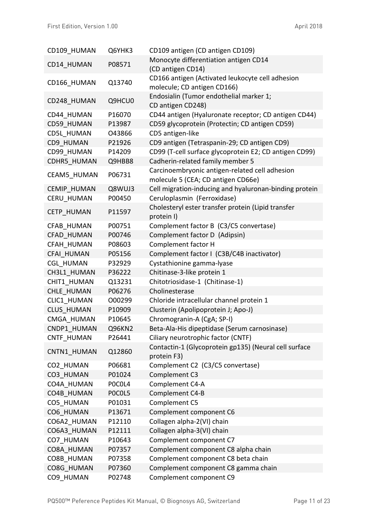| CD109 HUMAN        | Q6YHK3 | CD109 antigen (CD antigen CD109)                       |
|--------------------|--------|--------------------------------------------------------|
| CD14 HUMAN         | P08571 | Monocyte differentiation antigen CD14                  |
|                    |        | (CD antigen CD14)                                      |
| CD166 HUMAN        | Q13740 | CD166 antigen (Activated leukocyte cell adhesion       |
|                    |        | molecule; CD antigen CD166)                            |
| CD248 HUMAN        | Q9HCU0 | Endosialin (Tumor endothelial marker 1;                |
|                    |        | CD antigen CD248)                                      |
| CD44 HUMAN         | P16070 | CD44 antigen (Hyaluronate receptor; CD antigen CD44)   |
| CD59 HUMAN         | P13987 | CD59 glycoprotein (Protectin; CD antigen CD59)         |
| CD5L HUMAN         | 043866 | CD5 antigen-like                                       |
| CD9 HUMAN          | P21926 | CD9 antigen (Tetraspanin-29; CD antigen CD9)           |
| CD99 HUMAN         | P14209 | CD99 (T-cell surface glycoprotein E2; CD antigen CD99) |
| CDHR5 HUMAN        | Q9HBB8 | Cadherin-related family member 5                       |
| CEAM5 HUMAN        | P06731 | Carcinoembryonic antigen-related cell adhesion         |
|                    |        | molecule 5 (CEA; CD antigen CD66e)                     |
| <b>CEMIP HUMAN</b> | Q8WUJ3 | Cell migration-inducing and hyaluronan-binding protein |
| <b>CERU HUMAN</b>  | P00450 | Ceruloplasmin (Ferroxidase)                            |
| <b>CETP HUMAN</b>  | P11597 | Cholesteryl ester transfer protein (Lipid transfer     |
|                    |        | protein I)                                             |
| CFAB HUMAN         | P00751 | Complement factor B (C3/C5 convertase)                 |
| CFAD HUMAN         | P00746 | Complement factor D (Adipsin)                          |
| CFAH HUMAN         | P08603 | Complement factor H                                    |
| CFAI HUMAN         | P05156 | Complement factor I (C3B/C4B inactivator)              |
| <b>CGL HUMAN</b>   | P32929 | Cystathionine gamma-lyase                              |
| CH3L1 HUMAN        | P36222 | Chitinase-3-like protein 1                             |
| CHIT1_HUMAN        | Q13231 | Chitotriosidase-1 (Chitinase-1)                        |
| CHLE HUMAN         | P06276 | Cholinesterase                                         |
| CLIC1 HUMAN        | O00299 | Chloride intracellular channel protein 1               |
| <b>CLUS HUMAN</b>  | P10909 | Clusterin (Apolipoprotein J; Apo-J)                    |
| CMGA HUMAN         | P10645 | Chromogranin-A (CgA; SP-I)                             |
| CNDP1 HUMAN        | Q96KN2 | Beta-Ala-His dipeptidase (Serum carnosinase)           |
| <b>CNTF HUMAN</b>  | P26441 | Ciliary neurotrophic factor (CNTF)                     |
| CNTN1 HUMAN        | Q12860 | Contactin-1 (Glycoprotein gp135) (Neural cell surface  |
|                    |        | protein F3)                                            |
| CO2 HUMAN          | P06681 | Complement C2 (C3/C5 convertase)                       |
| CO3 HUMAN          | P01024 | Complement C3                                          |
| CO4A HUMAN         | POCOL4 | Complement C4-A                                        |
| CO4B HUMAN         | POCOL5 | Complement C4-B                                        |
| CO5 HUMAN          | P01031 | Complement C5                                          |
| CO6 HUMAN          | P13671 | Complement component C6                                |
| CO6A2 HUMAN        | P12110 | Collagen alpha-2(VI) chain                             |
| CO6A3 HUMAN        | P12111 | Collagen alpha-3(VI) chain                             |
| CO7 HUMAN          | P10643 | Complement component C7                                |
| CO8A HUMAN         | P07357 | Complement component C8 alpha chain                    |
| CO8B HUMAN         | P07358 | Complement component C8 beta chain                     |
| CO8G HUMAN         | P07360 | Complement component C8 gamma chain                    |
| CO9 HUMAN          | P02748 | Complement component C9                                |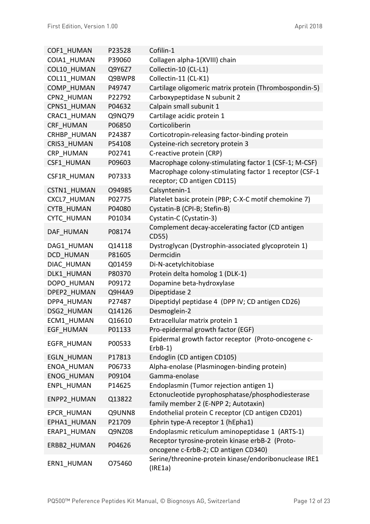| COF1 HUMAN         | P23528 | Cofilin-1                                                                                |
|--------------------|--------|------------------------------------------------------------------------------------------|
| COIA1 HUMAN        | P39060 | Collagen alpha-1(XVIII) chain                                                            |
| COL10 HUMAN        | Q9Y6Z7 | Collectin-10 (CL-L1)                                                                     |
| COL11 HUMAN        | Q9BWP8 | Collectin-11 (CL-K1)                                                                     |
| <b>COMP HUMAN</b>  | P49747 | Cartilage oligomeric matrix protein (Thrombospondin-5)                                   |
| CPN2 HUMAN         | P22792 | Carboxypeptidase N subunit 2                                                             |
| CPNS1 HUMAN        | P04632 | Calpain small subunit 1                                                                  |
| CRAC1 HUMAN        | Q9NQ79 | Cartilage acidic protein 1                                                               |
| CRF HUMAN          | P06850 | Corticoliberin                                                                           |
| CRHBP HUMAN        | P24387 | Corticotropin-releasing factor-binding protein                                           |
| CRIS3 HUMAN        | P54108 | Cysteine-rich secretory protein 3                                                        |
| CRP HUMAN          | P02741 | C-reactive protein (CRP)                                                                 |
| CSF1 HUMAN         | P09603 | Macrophage colony-stimulating factor 1 (CSF-1; M-CSF)                                    |
| CSF1R HUMAN        | P07333 | Macrophage colony-stimulating factor 1 receptor (CSF-1<br>receptor; CD antigen CD115)    |
| CSTN1 HUMAN        | O94985 | Calsyntenin-1                                                                            |
| <b>CXCL7 HUMAN</b> | P02775 | Platelet basic protein (PBP; C-X-C motif chemokine 7)                                    |
| <b>CYTB HUMAN</b>  | P04080 | Cystatin-B (CPI-B; Stefin-B)                                                             |
| <b>CYTC HUMAN</b>  | P01034 | Cystatin-C (Cystatin-3)                                                                  |
| DAF HUMAN          | P08174 | Complement decay-accelerating factor (CD antigen<br>CD55)                                |
| DAG1 HUMAN         | Q14118 | Dystroglycan (Dystrophin-associated glycoprotein 1)                                      |
| DCD HUMAN          | P81605 | Dermcidin                                                                                |
| DIAC HUMAN         | Q01459 | Di-N-acetylchitobiase                                                                    |
| DLK1 HUMAN         | P80370 | Protein delta homolog 1 (DLK-1)                                                          |
| DOPO HUMAN         | P09172 | Dopamine beta-hydroxylase                                                                |
| DPEP2 HUMAN        | Q9H4A9 | Dipeptidase 2                                                                            |
| DPP4 HUMAN         | P27487 | Dipeptidyl peptidase 4 (DPP IV; CD antigen CD26)                                         |
| DSG2 HUMAN         | Q14126 | Desmoglein-2                                                                             |
| ECM1 HUMAN         | Q16610 | Extracellular matrix protein 1                                                           |
| <b>EGF HUMAN</b>   | P01133 | Pro-epidermal growth factor (EGF)                                                        |
| <b>EGFR HUMAN</b>  | P00533 | Epidermal growth factor receptor (Proto-oncogene c-<br>$ErbB-1)$                         |
| <b>EGLN HUMAN</b>  | P17813 | Endoglin (CD antigen CD105)                                                              |
| ENOA HUMAN         | P06733 | Alpha-enolase (Plasminogen-binding protein)                                              |
| <b>ENOG HUMAN</b>  | P09104 | Gamma-enolase                                                                            |
| <b>ENPL HUMAN</b>  | P14625 | Endoplasmin (Tumor rejection antigen 1)                                                  |
| <b>ENPP2 HUMAN</b> | Q13822 | Ectonucleotide pyrophosphatase/phosphodiesterase<br>family member 2 (E-NPP 2; Autotaxin) |
| <b>EPCR HUMAN</b>  | Q9UNN8 | Endothelial protein C receptor (CD antigen CD201)                                        |
| EPHA1 HUMAN        | P21709 | Ephrin type-A receptor 1 (hEpha1)                                                        |
| ERAP1 HUMAN        | Q9NZ08 | Endoplasmic reticulum aminopeptidase 1 (ARTS-1)                                          |
| ERBB2 HUMAN        | P04626 | Receptor tyrosine-protein kinase erbB-2 (Proto-<br>oncogene c-ErbB-2; CD antigen CD340)  |
| ERN1_HUMAN         | 075460 | Serine/threonine-protein kinase/endoribonuclease IRE1<br>(IRE1a)                         |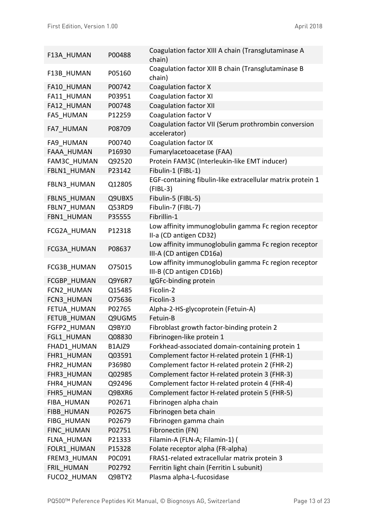| F13A HUMAN         | P00488 | Coagulation factor XIII A chain (Transglutaminase A<br>chain)                    |
|--------------------|--------|----------------------------------------------------------------------------------|
| F13B HUMAN         | P05160 | Coagulation factor XIII B chain (Transglutaminase B<br>chain)                    |
| FA10 HUMAN         | P00742 | Coagulation factor X                                                             |
| FA11 HUMAN         | P03951 | <b>Coagulation factor XI</b>                                                     |
| FA12 HUMAN         | P00748 | <b>Coagulation factor XII</b>                                                    |
| <b>FA5 HUMAN</b>   | P12259 | Coagulation factor V                                                             |
| FA7 HUMAN          | P08709 | Coagulation factor VII (Serum prothrombin conversion<br>accelerator)             |
| FA9 HUMAN          | P00740 | <b>Coagulation factor IX</b>                                                     |
| <b>FAAA HUMAN</b>  | P16930 | Fumarylacetoacetase (FAA)                                                        |
| <b>FAM3C HUMAN</b> | Q92520 | Protein FAM3C (Interleukin-like EMT inducer)                                     |
| FBLN1 HUMAN        | P23142 | Fibulin-1 (FIBL-1)                                                               |
| FBLN3_HUMAN        | Q12805 | EGF-containing fibulin-like extracellular matrix protein 1<br>$(FIBL-3)$         |
| FBLN5 HUMAN        | Q9UBX5 | Fibulin-5 (FIBL-5)                                                               |
| FBLN7 HUMAN        | Q53RD9 | Fibulin-7 (FIBL-7)                                                               |
| FBN1 HUMAN         | P35555 | Fibrillin-1                                                                      |
| FCG2A HUMAN        | P12318 | Low affinity immunoglobulin gamma Fc region receptor<br>II-a (CD antigen CD32)   |
| FCG3A HUMAN        | P08637 | Low affinity immunoglobulin gamma Fc region receptor<br>III-A (CD antigen CD16a) |
| FCG3B HUMAN        | 075015 | Low affinity immunoglobulin gamma Fc region receptor<br>III-B (CD antigen CD16b) |
| FCGBP HUMAN        | Q9Y6R7 | IgGFc-binding protein                                                            |
| FCN2 HUMAN         | Q15485 | Ficolin-2                                                                        |
| FCN3 HUMAN         | 075636 | Ficolin-3                                                                        |
| FETUA HUMAN        | P02765 | Alpha-2-HS-glycoprotein (Fetuin-A)                                               |
| FETUB HUMAN        | Q9UGM5 | Fetuin-B                                                                         |
| FGFP2_HUMAN        | Q9BYJ0 | Fibroblast growth factor-binding protein 2                                       |
| FGL1 HUMAN         | Q08830 | Fibrinogen-like protein 1                                                        |
| FHAD1 HUMAN        | B1AJZ9 | Forkhead-associated domain-containing protein 1                                  |
| FHR1 HUMAN         | Q03591 | Complement factor H-related protein 1 (FHR-1)                                    |
| FHR2 HUMAN         | P36980 | Complement factor H-related protein 2 (FHR-2)                                    |
| FHR3 HUMAN         | Q02985 | Complement factor H-related protein 3 (FHR-3)                                    |
| FHR4 HUMAN         | Q92496 | Complement factor H-related protein 4 (FHR-4)                                    |
| FHR5 HUMAN         | Q9BXR6 | Complement factor H-related protein 5 (FHR-5)                                    |
| FIBA HUMAN         | P02671 | Fibrinogen alpha chain                                                           |
| FIBB HUMAN         | P02675 | Fibrinogen beta chain                                                            |
| <b>FIBG HUMAN</b>  | P02679 | Fibrinogen gamma chain                                                           |
| FINC HUMAN         | P02751 | Fibronectin (FN)                                                                 |
| FLNA HUMAN         | P21333 | Filamin-A (FLN-A; Filamin-1) (                                                   |
| FOLR1 HUMAN        | P15328 | Folate receptor alpha (FR-alpha)                                                 |
| FREM3 HUMAN        | P0C091 | FRAS1-related extracellular matrix protein 3                                     |
| FRIL HUMAN         | P02792 | Ferritin light chain (Ferritin L subunit)                                        |
| FUCO2 HUMAN        | Q9BTY2 | Plasma alpha-L-fucosidase                                                        |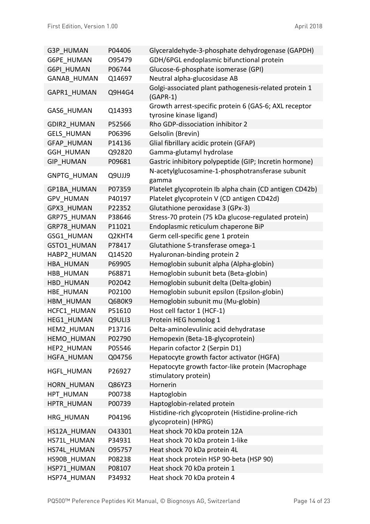| G3P HUMAN          | P04406 | Glyceraldehyde-3-phosphate dehydrogenase (GAPDH)                                 |
|--------------------|--------|----------------------------------------------------------------------------------|
| G6PE HUMAN         | O95479 | GDH/6PGL endoplasmic bifunctional protein                                        |
| <b>G6PI HUMAN</b>  | P06744 | Glucose-6-phosphate isomerase (GPI)                                              |
| <b>GANAB HUMAN</b> | Q14697 | Neutral alpha-glucosidase AB                                                     |
| GAPR1 HUMAN        | Q9H4G4 | Golgi-associated plant pathogenesis-related protein 1<br>$(GAPR-1)$              |
| <b>GAS6 HUMAN</b>  | Q14393 | Growth arrest-specific protein 6 (GAS-6; AXL receptor<br>tyrosine kinase ligand) |
| <b>GDIR2 HUMAN</b> | P52566 | Rho GDP-dissociation inhibitor 2                                                 |
| <b>GELS HUMAN</b>  | P06396 | Gelsolin (Brevin)                                                                |
| <b>GFAP HUMAN</b>  | P14136 | Glial fibrillary acidic protein (GFAP)                                           |
| <b>GGH HUMAN</b>   | Q92820 | Gamma-glutamyl hydrolase                                                         |
| <b>GIP HUMAN</b>   | P09681 | Gastric inhibitory polypeptide (GIP; Incretin hormone)                           |
| <b>GNPTG HUMAN</b> | Q9UJJ9 | N-acetylglucosamine-1-phosphotransferase subunit<br>gamma                        |
| GP1BA HUMAN        | P07359 | Platelet glycoprotein Ib alpha chain (CD antigen CD42b)                          |
| <b>GPV HUMAN</b>   | P40197 | Platelet glycoprotein V (CD antigen CD42d)                                       |
| GPX3 HUMAN         | P22352 | Glutathione peroxidase 3 (GPx-3)                                                 |
| GRP75 HUMAN        | P38646 | Stress-70 protein (75 kDa glucose-regulated protein)                             |
| GRP78 HUMAN        | P11021 | Endoplasmic reticulum chaperone BiP                                              |
| GSG1 HUMAN         | Q2KHT4 | Germ cell-specific gene 1 protein                                                |
| GSTO1 HUMAN        | P78417 | Glutathione S-transferase omega-1                                                |
| HABP2 HUMAN        | Q14520 | Hyaluronan-binding protein 2                                                     |
| HBA HUMAN          | P69905 | Hemoglobin subunit alpha (Alpha-globin)                                          |
| HBB HUMAN          | P68871 | Hemoglobin subunit beta (Beta-globin)                                            |
| HBD HUMAN          | P02042 | Hemoglobin subunit delta (Delta-globin)                                          |
| HBE HUMAN          | P02100 | Hemoglobin subunit epsilon (Epsilon-globin)                                      |
| HBM HUMAN          | Q6B0K9 | Hemoglobin subunit mu (Mu-globin)                                                |
| HCFC1 HUMAN        | P51610 | Host cell factor 1 (HCF-1)                                                       |
| <b>HEG1 HUMAN</b>  | Q9ULI3 | Protein HEG homolog 1                                                            |
| <b>HEM2 HUMAN</b>  | P13716 | Delta-aminolevulinic acid dehydratase                                            |
| <b>HEMO HUMAN</b>  | P02790 | Hemopexin (Beta-1B-glycoprotein)                                                 |
| <b>HEP2 HUMAN</b>  | P05546 | Heparin cofactor 2 (Serpin D1)                                                   |
| <b>HGFA HUMAN</b>  | Q04756 | Hepatocyte growth factor activator (HGFA)                                        |
| <b>HGFL HUMAN</b>  | P26927 | Hepatocyte growth factor-like protein (Macrophage<br>stimulatory protein)        |
| HORN HUMAN         | Q86YZ3 | Hornerin                                                                         |
| HPT HUMAN          | P00738 | Haptoglobin                                                                      |
| HPTR HUMAN         | P00739 | Haptoglobin-related protein                                                      |
| HRG HUMAN          | P04196 | Histidine-rich glycoprotein (Histidine-proline-rich<br>glycoprotein) (HPRG)      |
| HS12A HUMAN        | 043301 | Heat shock 70 kDa protein 12A                                                    |
| HS71L HUMAN        | P34931 | Heat shock 70 kDa protein 1-like                                                 |
| HS74L HUMAN        | 095757 | Heat shock 70 kDa protein 4L                                                     |
| HS90B HUMAN        | P08238 | Heat shock protein HSP 90-beta (HSP 90)                                          |
| HSP71 HUMAN        | P08107 | Heat shock 70 kDa protein 1                                                      |
| HSP74 HUMAN        | P34932 | Heat shock 70 kDa protein 4                                                      |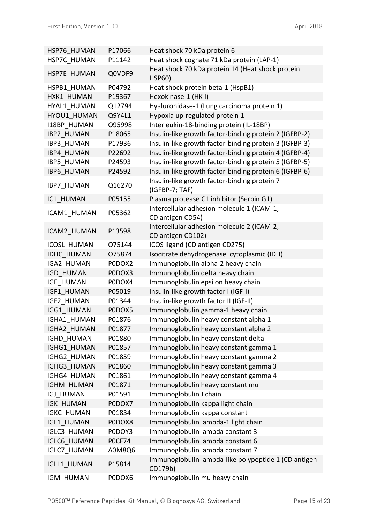| HSP76 HUMAN        | P17066        | Heat shock 70 kDa protein 6                                       |
|--------------------|---------------|-------------------------------------------------------------------|
| HSP7C HUMAN        | P11142        | Heat shock cognate 71 kDa protein (LAP-1)                         |
| HSP7E HUMAN        | Q0VDF9        | Heat shock 70 kDa protein 14 (Heat shock protein<br><b>HSP60)</b> |
| HSPB1 HUMAN        | P04792        | Heat shock protein beta-1 (HspB1)                                 |
| HXK1 HUMAN         | P19367        | Hexokinase-1 (HKI)                                                |
| HYAL1 HUMAN        | Q12794        | Hyaluronidase-1 (Lung carcinoma protein 1)                        |
| HYOU1 HUMAN        | Q9Y4L1        | Hypoxia up-regulated protein 1                                    |
| <b>I18BP HUMAN</b> | O95998        | Interleukin-18-binding protein (IL-18BP)                          |
| <b>IBP2 HUMAN</b>  | P18065        | Insulin-like growth factor-binding protein 2 (IGFBP-2)            |
| <b>IBP3 HUMAN</b>  | P17936        | Insulin-like growth factor-binding protein 3 (IGFBP-3)            |
| IBP4 HUMAN         | P22692        | Insulin-like growth factor-binding protein 4 (IGFBP-4)            |
| <b>IBP5 HUMAN</b>  | P24593        | Insulin-like growth factor-binding protein 5 (IGFBP-5)            |
| <b>IBP6 HUMAN</b>  | P24592        | Insulin-like growth factor-binding protein 6 (IGFBP-6)            |
| IBP7_HUMAN         | Q16270        | Insulin-like growth factor-binding protein 7<br>(IGFBP-7; TAF)    |
| IC1 HUMAN          | P05155        | Plasma protease C1 inhibitor (Serpin G1)                          |
| ICAM1 HUMAN        | P05362        | Intercellular adhesion molecule 1 (ICAM-1;<br>CD antigen CD54)    |
|                    |               | Intercellular adhesion molecule 2 (ICAM-2;                        |
| ICAM2 HUMAN        | P13598        | CD antigen CD102)                                                 |
| <b>ICOSL HUMAN</b> | 075144        | ICOS ligand (CD antigen CD275)                                    |
| <b>IDHC HUMAN</b>  | 075874        | Isocitrate dehydrogenase cytoplasmic (IDH)                        |
| IGA2_HUMAN         | PODOX2        | Immunoglobulin alpha-2 heavy chain                                |
| <b>IGD HUMAN</b>   | PODOX3        | Immunoglobulin delta heavy chain                                  |
| <b>IGE HUMAN</b>   | PODOX4        | Immunoglobulin epsilon heavy chain                                |
| IGF1 HUMAN         | P05019        | Insulin-like growth factor I (IGF-I)                              |
| IGF2 HUMAN         | P01344        | Insulin-like growth factor II (IGF-II)                            |
| IGG1 HUMAN         | PODOX5        | Immunoglobulin gamma-1 heavy chain                                |
| IGHA1 HUMAN        | P01876        | Immunoglobulin heavy constant alpha 1                             |
| IGHA2 HUMAN        | P01877        | Immunoglobulin heavy constant alpha 2                             |
| IGHD_HUMAN         | P01880        | Immunoglobulin heavy constant delta                               |
| IGHG1 HUMAN        | P01857        | Immunoglobulin heavy constant gamma 1                             |
| IGHG2 HUMAN        | P01859        | Immunoglobulin heavy constant gamma 2                             |
| IGHG3 HUMAN        | P01860        | Immunoglobulin heavy constant gamma 3                             |
| IGHG4 HUMAN        | P01861        | Immunoglobulin heavy constant gamma 4                             |
| <b>IGHM HUMAN</b>  | P01871        | Immunoglobulin heavy constant mu                                  |
| <b>IGJ HUMAN</b>   | P01591        | Immunoglobulin J chain                                            |
| <b>IGK HUMAN</b>   | PODOX7        | Immunoglobulin kappa light chain                                  |
| <b>IGKC HUMAN</b>  | P01834        | Immunoglobulin kappa constant                                     |
| <b>IGL1 HUMAN</b>  | PODOX8        | Immunoglobulin lambda-1 light chain                               |
| <b>IGLC3 HUMAN</b> | P0DOY3        | Immunoglobulin lambda constant 3                                  |
| <b>IGLC6 HUMAN</b> | <b>POCF74</b> | Immunoglobulin lambda constant 6                                  |
| <b>IGLC7 HUMAN</b> | A0M8Q6        | Immunoglobulin lambda constant 7                                  |
| <b>IGLL1 HUMAN</b> | P15814        | Immunoglobulin lambda-like polypeptide 1 (CD antigen<br>CD179b)   |
| IGM_HUMAN          | PODOX6        | Immunoglobulin mu heavy chain                                     |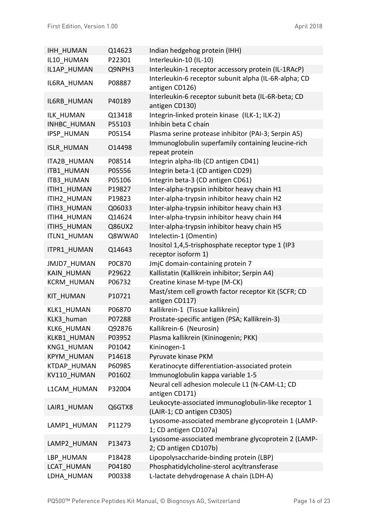| <b>IHH HUMAN</b>   | Q14623 | Indian hedgehog protein (IHH)                                                     |
|--------------------|--------|-----------------------------------------------------------------------------------|
| IL10 HUMAN         | P22301 | Interleukin-10 (IL-10)                                                            |
| IL1AP HUMAN        | Q9NPH3 | Interleukin-1 receptor accessory protein (IL-1RAcP)                               |
| IL6RA_HUMAN        | P08887 | Interleukin-6 receptor subunit alpha (IL-6R-alpha; CD<br>antigen CD126)           |
| IL6RB_HUMAN        | P40189 | Interleukin-6 receptor subunit beta (IL-6R-beta; CD<br>antigen CD130)             |
| ILK HUMAN          | Q13418 | Integrin-linked protein kinase (ILK-1; ILK-2)                                     |
| <b>INHBC HUMAN</b> | P55103 | Inhibin beta C chain                                                              |
| <b>IPSP HUMAN</b>  | P05154 | Plasma serine protease inhibitor (PAI-3; Serpin A5)                               |
| <b>ISLR_HUMAN</b>  | 014498 | Immunoglobulin superfamily containing leucine-rich<br>repeat protein              |
| <b>ITA2B HUMAN</b> | P08514 | Integrin alpha-IIb (CD antigen CD41)                                              |
| <b>ITB1 HUMAN</b>  | P05556 | Integrin beta-1 (CD antigen CD29)                                                 |
| <b>ITB3 HUMAN</b>  | P05106 | Integrin beta-3 (CD antigen CD61)                                                 |
| ITIH1 HUMAN        | P19827 | Inter-alpha-trypsin inhibitor heavy chain H1                                      |
| ITIH2 HUMAN        | P19823 | Inter-alpha-trypsin inhibitor heavy chain H2                                      |
| ITIH3 HUMAN        | Q06033 | Inter-alpha-trypsin inhibitor heavy chain H3                                      |
| ITIH4 HUMAN        | Q14624 | Inter-alpha-trypsin inhibitor heavy chain H4                                      |
| ITIH5 HUMAN        | Q86UX2 | Inter-alpha-trypsin inhibitor heavy chain H5                                      |
| ITLN1 HUMAN        | Q8WWA0 | Intelectin-1 (Omentin)                                                            |
| ITPR1 HUMAN        | Q14643 | Inositol 1,4,5-trisphosphate receptor type 1 (IP3<br>receptor isoform 1)          |
| <b>JMJD7 HUMAN</b> | P0C870 | JmjC domain-containing protein 7                                                  |
| <b>KAIN HUMAN</b>  | P29622 | Kallistatin (Kallikrein inhibitor; Serpin A4)                                     |
| <b>KCRM HUMAN</b>  | P06732 | Creatine kinase M-type (M-CK)                                                     |
| <b>KIT HUMAN</b>   | P10721 | Mast/stem cell growth factor receptor Kit (SCFR; CD<br>antigen CD117)             |
| KLK1 HUMAN         | P06870 | Kallikrein-1 (Tissue kallikrein)                                                  |
| KLK3 human         | P07288 | Prostate-specific antigen (PSA; Kallikrein-3)                                     |
| KLK6 HUMAN         | Q92876 | Kallikrein-6 (Neurosin)                                                           |
| KLKB1 HUMAN        | P03952 | Plasma kallikrein (Kininogenin; PKK)                                              |
| KNG1 HUMAN         | P01042 | Kininogen-1                                                                       |
| <b>KPYM HUMAN</b>  | P14618 | Pyruvate kinase PKM                                                               |
| KTDAP_HUMAN        | P60985 | Keratinocyte differentiation-associated protein                                   |
| KV110 HUMAN        | P01602 | Immunoglobulin kappa variable 1-5                                                 |
| L1CAM HUMAN        | P32004 | Neural cell adhesion molecule L1 (N-CAM-L1; CD<br>antigen CD171)                  |
| LAIR1 HUMAN        | Q6GTX8 | Leukocyte-associated immunoglobulin-like receptor 1<br>(LAIR-1; CD antigen CD305) |
| LAMP1 HUMAN        | P11279 | Lysosome-associated membrane glycoprotein 1 (LAMP-<br>1; CD antigen CD107a)       |
| LAMP2 HUMAN        | P13473 | Lysosome-associated membrane glycoprotein 2 (LAMP-<br>2; CD antigen CD107b)       |
| LBP HUMAN          | P18428 | Lipopolysaccharide-binding protein (LBP)                                          |
| LCAT HUMAN         | P04180 | Phosphatidylcholine-sterol acyltransferase                                        |
| LDHA HUMAN         | P00338 | L-lactate dehydrogenase A chain (LDH-A)                                           |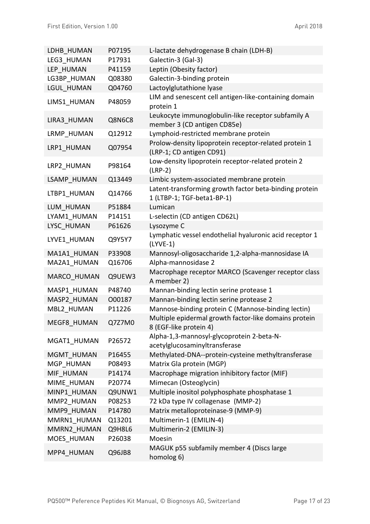| LDHB HUMAN  | P07195 | L-lactate dehydrogenase B chain (LDH-B)                                              |
|-------------|--------|--------------------------------------------------------------------------------------|
| LEG3 HUMAN  | P17931 | Galectin-3 (Gal-3)                                                                   |
| LEP HUMAN   | P41159 | Leptin (Obesity factor)                                                              |
| LG3BP HUMAN | Q08380 | Galectin-3-binding protein                                                           |
| LGUL HUMAN  | Q04760 | Lactoylglutathione lyase                                                             |
| LIMS1 HUMAN | P48059 | LIM and senescent cell antigen-like-containing domain<br>protein 1                   |
| LIRA3 HUMAN | Q8N6C8 | Leukocyte immunoglobulin-like receptor subfamily A<br>member 3 (CD antigen CD85e)    |
| LRMP HUMAN  | Q12912 | Lymphoid-restricted membrane protein                                                 |
| LRP1 HUMAN  | Q07954 | Prolow-density lipoprotein receptor-related protein 1<br>(LRP-1; CD antigen CD91)    |
| LRP2 HUMAN  | P98164 | Low-density lipoprotein receptor-related protein 2<br>$(LRP-2)$                      |
| LSAMP HUMAN | Q13449 | Limbic system-associated membrane protein                                            |
| LTBP1 HUMAN | Q14766 | Latent-transforming growth factor beta-binding protein<br>1 (LTBP-1; TGF-beta1-BP-1) |
| LUM HUMAN   | P51884 | Lumican                                                                              |
| LYAM1 HUMAN | P14151 | L-selectin (CD antigen CD62L)                                                        |
| LYSC HUMAN  | P61626 | Lysozyme C                                                                           |
| LYVE1 HUMAN | Q9Y5Y7 | Lymphatic vessel endothelial hyaluronic acid receptor 1<br>$(LYVE-1)$                |
| MA1A1 HUMAN | P33908 | Mannosyl-oligosaccharide 1,2-alpha-mannosidase IA                                    |
| MA2A1 HUMAN | Q16706 | Alpha-mannosidase 2                                                                  |
| MARCO HUMAN | Q9UEW3 | Macrophage receptor MARCO (Scavenger receptor class<br>A member 2)                   |
| MASP1 HUMAN | P48740 | Mannan-binding lectin serine protease 1                                              |
| MASP2 HUMAN | 000187 | Mannan-binding lectin serine protease 2                                              |
| MBL2_HUMAN  | P11226 | Mannose-binding protein C (Mannose-binding lectin)                                   |
| MEGF8_HUMAN | Q7Z7M0 | Multiple epidermal growth factor-like domains protein<br>8 (EGF-like protein 4)      |
| MGAT1_HUMAN | P26572 | Alpha-1,3-mannosyl-glycoprotein 2-beta-N-<br>acetylglucosaminyltransferase           |
| MGMT_HUMAN  | P16455 | Methylated-DNA--protein-cysteine methyltransferase                                   |
| MGP HUMAN   | P08493 | Matrix Gla protein (MGP)                                                             |
| MIF HUMAN   | P14174 | Macrophage migration inhibitory factor (MIF)                                         |
| MIME HUMAN  | P20774 | Mimecan (Osteoglycin)                                                                |
| MINP1 HUMAN | Q9UNW1 | Multiple inositol polyphosphate phosphatase 1                                        |
| MMP2 HUMAN  | P08253 | 72 kDa type IV collagenase (MMP-2)                                                   |
| MMP9 HUMAN  | P14780 | Matrix metalloproteinase-9 (MMP-9)                                                   |
| MMRN1 HUMAN | Q13201 | Multimerin-1 (EMILIN-4)                                                              |
| MMRN2 HUMAN | Q9H8L6 | Multimerin-2 (EMILIN-3)                                                              |
| MOES HUMAN  | P26038 | Moesin                                                                               |
| MPP4 HUMAN  | Q96JB8 | MAGUK p55 subfamily member 4 (Discs large<br>homolog 6)                              |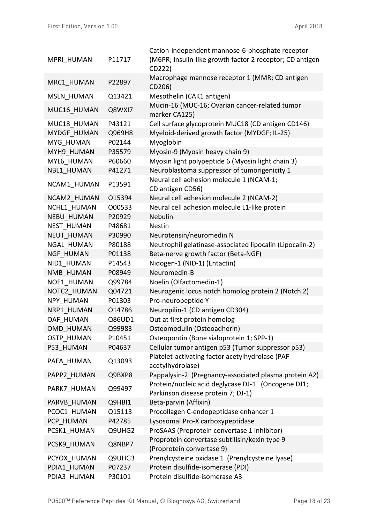|                   |        | Cation-independent mannose-6-phosphate receptor                                          |
|-------------------|--------|------------------------------------------------------------------------------------------|
| MPRI HUMAN        | P11717 | (M6PR; Insulin-like growth factor 2 receptor; CD antigen                                 |
|                   |        | CD222)                                                                                   |
| MRC1 HUMAN        | P22897 | Macrophage mannose receptor 1 (MMR; CD antigen                                           |
|                   |        | CD206)                                                                                   |
| MSLN_HUMAN        | Q13421 | Mesothelin (CAK1 antigen)                                                                |
| MUC16 HUMAN       | Q8WXI7 | Mucin-16 (MUC-16; Ovarian cancer-related tumor<br>marker CA125)                          |
| MUC18 HUMAN       | P43121 | Cell surface glycoprotein MUC18 (CD antigen CD146)                                       |
| MYDGF HUMAN       | Q969H8 | Myeloid-derived growth factor (MYDGF; IL-25)                                             |
| MYG HUMAN         | P02144 | Myoglobin                                                                                |
| MYH9 HUMAN        | P35579 | Myosin-9 (Myosin heavy chain 9)                                                          |
| MYL6 HUMAN        | P60660 | Myosin light polypeptide 6 (Myosin light chain 3)                                        |
| NBL1 HUMAN        | P41271 | Neuroblastoma suppressor of tumorigenicity 1                                             |
| NCAM1 HUMAN       | P13591 | Neural cell adhesion molecule 1 (NCAM-1;<br>CD antigen CD56)                             |
| NCAM2 HUMAN       | 015394 | Neural cell adhesion molecule 2 (NCAM-2)                                                 |
| NCHL1 HUMAN       | O00533 | Neural cell adhesion molecule L1-like protein                                            |
| <b>NEBU HUMAN</b> | P20929 | Nebulin                                                                                  |
| <b>NEST HUMAN</b> | P48681 | <b>Nestin</b>                                                                            |
| <b>NEUT HUMAN</b> | P30990 | Neurotensin/neuromedin N                                                                 |
| NGAL HUMAN        | P80188 | Neutrophil gelatinase-associated lipocalin (Lipocalin-2)                                 |
| <b>NGF HUMAN</b>  | P01138 | Beta-nerve growth factor (Beta-NGF)                                                      |
| NID1 HUMAN        | P14543 | Nidogen-1 (NID-1) (Entactin)                                                             |
| NMB HUMAN         | P08949 | Neuromedin-B                                                                             |
| NOE1 HUMAN        | Q99784 | Noelin (Olfactomedin-1)                                                                  |
| NOTC2 HUMAN       | Q04721 | Neurogenic locus notch homolog protein 2 (Notch 2)                                       |
| NPY HUMAN         | P01303 | Pro-neuropeptide Y                                                                       |
| NRP1 HUMAN        | 014786 | Neuropilin-1 (CD antigen CD304)                                                          |
| OAF HUMAN         | Q86UD1 | Out at first protein homolog                                                             |
| OMD HUMAN         | Q99983 | Osteomodulin (Osteoadherin)                                                              |
| <b>OSTP HUMAN</b> | P10451 | Osteopontin (Bone sialoprotein 1; SPP-1)                                                 |
| P53 HUMAN         | P04637 | Cellular tumor antigen p53 (Tumor suppressor p53)                                        |
| PAFA HUMAN        | Q13093 | Platelet-activating factor acetylhydrolase (PAF<br>acetylhydrolase)                      |
| PAPP2 HUMAN       | Q9BXP8 | Pappalysin-2 (Pregnancy-associated plasma protein A2)                                    |
| PARK7 HUMAN       | Q99497 | Protein/nucleic acid deglycase DJ-1 (Oncogene DJ1;<br>Parkinson disease protein 7; DJ-1) |
| PARVB HUMAN       | Q9HBI1 | Beta-parvin (Affixin)                                                                    |
| PCOC1 HUMAN       | Q15113 | Procollagen C-endopeptidase enhancer 1                                                   |
| PCP HUMAN         | P42785 | Lysosomal Pro-X carboxypeptidase                                                         |
| PCSK1 HUMAN       | Q9UHG2 | ProSAAS (Proprotein convertase 1 inhibitor)                                              |
| PCSK9 HUMAN       | Q8NBP7 | Proprotein convertase subtilisin/kexin type 9<br>(Proprotein convertase 9)               |
| PCYOX HUMAN       | Q9UHG3 | Prenylcysteine oxidase 1 (Prenylcysteine lyase)                                          |
| PDIA1 HUMAN       | P07237 | Protein disulfide-isomerase (PDI)                                                        |
| PDIA3 HUMAN       | P30101 | Protein disulfide-isomerase A3                                                           |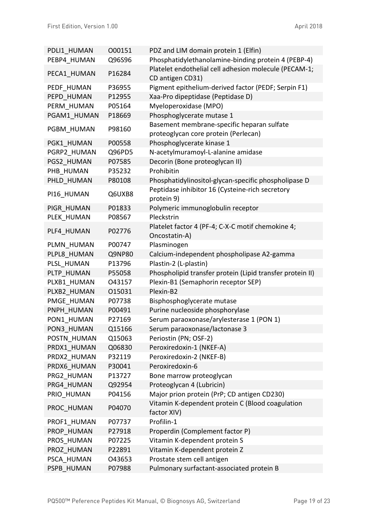| PDLI1 HUMAN | 000151 | PDZ and LIM domain protein 1 (Elfin)                                      |
|-------------|--------|---------------------------------------------------------------------------|
| PEBP4 HUMAN | Q96S96 | Phosphatidylethanolamine-binding protein 4 (PEBP-4)                       |
| PECA1 HUMAN | P16284 | Platelet endothelial cell adhesion molecule (PECAM-1;<br>CD antigen CD31) |
| PEDF HUMAN  | P36955 | Pigment epithelium-derived factor (PEDF; Serpin F1)                       |
| PEPD HUMAN  | P12955 | Xaa-Pro dipeptidase (Peptidase D)                                         |
| PERM HUMAN  | P05164 | Myeloperoxidase (MPO)                                                     |
| PGAM1 HUMAN | P18669 | Phosphoglycerate mutase 1                                                 |
|             |        | Basement membrane-specific heparan sulfate                                |
| PGBM HUMAN  | P98160 | proteoglycan core protein (Perlecan)                                      |
| PGK1 HUMAN  | P00558 | Phosphoglycerate kinase 1                                                 |
| PGRP2 HUMAN | Q96PD5 | N-acetylmuramoyl-L-alanine amidase                                        |
| PGS2 HUMAN  | P07585 | Decorin (Bone proteoglycan II)                                            |
| PHB HUMAN   | P35232 | Prohibitin                                                                |
| PHLD HUMAN  | P80108 | Phosphatidylinositol-glycan-specific phospholipase D                      |
| PI16 HUMAN  | Q6UXB8 | Peptidase inhibitor 16 (Cysteine-rich secretory<br>protein 9)             |
| PIGR HUMAN  | P01833 | Polymeric immunoglobulin receptor                                         |
| PLEK HUMAN  | P08567 | Pleckstrin                                                                |
|             |        | Platelet factor 4 (PF-4; C-X-C motif chemokine 4;                         |
| PLF4 HUMAN  | P02776 | Oncostatin-A)                                                             |
| PLMN HUMAN  | P00747 | Plasminogen                                                               |
| PLPL8 HUMAN | Q9NP80 | Calcium-independent phospholipase A2-gamma                                |
| PLSL HUMAN  | P13796 | Plastin-2 (L-plastin)                                                     |
| PLTP HUMAN  | P55058 | Phospholipid transfer protein (Lipid transfer protein II)                 |
| PLXB1 HUMAN | 043157 | Plexin-B1 (Semaphorin receptor SEP)                                       |
| PLXB2 HUMAN | 015031 | Plexin-B2                                                                 |
| PMGE HUMAN  | P07738 | Bisphosphoglycerate mutase                                                |
| PNPH HUMAN  | P00491 | Purine nucleoside phosphorylase                                           |
| PON1 HUMAN  | P27169 | Serum paraoxonase/arylesterase 1 (PON 1)                                  |
| PON3 HUMAN  | Q15166 | Serum paraoxonase/lactonase 3                                             |
| POSTN HUMAN | Q15063 | Periostin (PN; OSF-2)                                                     |
| PRDX1 HUMAN | Q06830 | Peroxiredoxin-1 (NKEF-A)                                                  |
| PRDX2 HUMAN | P32119 | Peroxiredoxin-2 (NKEF-B)                                                  |
| PRDX6 HUMAN | P30041 | Peroxiredoxin-6                                                           |
| PRG2 HUMAN  | P13727 | Bone marrow proteoglycan                                                  |
| PRG4 HUMAN  | Q92954 | Proteoglycan 4 (Lubricin)                                                 |
| PRIO HUMAN  | P04156 | Major prion protein (PrP; CD antigen CD230)                               |
| PROC HUMAN  | P04070 | Vitamin K-dependent protein C (Blood coagulation<br>factor XIV)           |
| PROF1 HUMAN | P07737 | Profilin-1                                                                |
| PROP HUMAN  | P27918 | Properdin (Complement factor P)                                           |
| PROS HUMAN  | P07225 | Vitamin K-dependent protein S                                             |
| PROZ HUMAN  | P22891 | Vitamin K-dependent protein Z                                             |
| PSCA HUMAN  | 043653 | Prostate stem cell antigen                                                |
| PSPB_HUMAN  | P07988 | Pulmonary surfactant-associated protein B                                 |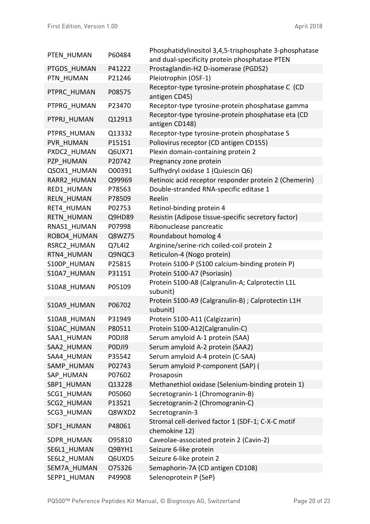| PTEN HUMAN        | P60484 | Phosphatidylinositol 3,4,5-trisphosphate 3-phosphatase               |
|-------------------|--------|----------------------------------------------------------------------|
|                   |        | and dual-specificity protein phosphatase PTEN                        |
| PTGDS HUMAN       | P41222 | Prostaglandin-H2 D-isomerase (PGDS2)                                 |
| PTN HUMAN         | P21246 | Pleiotrophin (OSF-1)                                                 |
| PTPRC HUMAN       | P08575 | Receptor-type tyrosine-protein phosphatase C (CD<br>antigen CD45)    |
| PTPRG HUMAN       | P23470 | Receptor-type tyrosine-protein phosphatase gamma                     |
| PTPRJ HUMAN       | Q12913 | Receptor-type tyrosine-protein phosphatase eta (CD<br>antigen CD148) |
| PTPRS HUMAN       | Q13332 | Receptor-type tyrosine-protein phosphatase S                         |
| PVR HUMAN         | P15151 | Poliovirus receptor (CD antigen CD155)                               |
| PXDC2 HUMAN       | Q6UX71 | Plexin domain-containing protein 2                                   |
| PZP HUMAN         | P20742 | Pregnancy zone protein                                               |
| QSOX1 HUMAN       | 000391 | Sulfhydryl oxidase 1 (Quiescin Q6)                                   |
| RARR2 HUMAN       | Q99969 | Retinoic acid receptor responder protein 2 (Chemerin)                |
| RED1 HUMAN        | P78563 | Double-stranded RNA-specific editase 1                               |
| <b>RELN HUMAN</b> | P78509 | Reelin                                                               |
| RET4 HUMAN        | P02753 | Retinol-binding protein 4                                            |
| <b>RETN HUMAN</b> | Q9HD89 | Resistin (Adipose tissue-specific secretory factor)                  |
| RNAS1 HUMAN       | P07998 | Ribonuclease pancreatic                                              |
| ROBO4 HUMAN       | Q8WZ75 | Roundabout homolog 4                                                 |
| RSRC2 HUMAN       | Q7L4I2 | Arginine/serine-rich coiled-coil protein 2                           |
| RTN4 HUMAN        | Q9NQC3 | Reticulon-4 (Nogo protein)                                           |
| S100P HUMAN       | P25815 | Protein S100-P (S100 calcium-binding protein P)                      |
| S10A7 HUMAN       | P31151 | Protein S100-A7 (Psoriasin)                                          |
| S10A8_HUMAN       | P05109 | Protein S100-A8 (Calgranulin-A; Calprotectin L1L<br>subunit)         |
| S10A9 HUMAN       | P06702 | Protein S100-A9 (Calgranulin-B) ; Calprotectin L1H<br>subunit)       |
| S10AB HUMAN       | P31949 | Protein S100-A11 (Calgizzarin)                                       |
| S10AC HUMAN       | P80511 | Protein S100-A12(Calgranulin-C)                                      |
| SAA1 HUMAN        | PODJI8 | Serum amyloid A-1 protein (SAA)                                      |
| SAA2 HUMAN        | PODJI9 | Serum amyloid A-2 protein (SAA2)                                     |
| SAA4 HUMAN        | P35542 | Serum amyloid A-4 protein (C-SAA)                                    |
| SAMP HUMAN        | P02743 | Serum amyloid P-component (SAP) (                                    |
| SAP HUMAN         | P07602 | Prosaposin                                                           |
| SBP1_HUMAN        | Q13228 | Methanethiol oxidase (Selenium-binding protein 1)                    |
| SCG1 HUMAN        | P05060 | Secretogranin-1 (Chromogranin-B)                                     |
| SCG2 HUMAN        | P13521 | Secretogranin-2 (Chromogranin-C)                                     |
| SCG3 HUMAN        | Q8WXD2 | Secretogranin-3                                                      |
| SDF1 HUMAN        | P48061 | Stromal cell-derived factor 1 (SDF-1; C-X-C motif<br>chemokine 12)   |
| SDPR HUMAN        | 095810 | Caveolae-associated protein 2 (Cavin-2)                              |
| SE6L1 HUMAN       | Q9BYH1 | Seizure 6-like protein                                               |
| SE6L2 HUMAN       | Q6UXD5 | Seizure 6-like protein 2                                             |
| SEM7A HUMAN       | 075326 | Semaphorin-7A (CD antigen CD108)                                     |
| SEPP1 HUMAN       | P49908 | Selenoprotein P (SeP)                                                |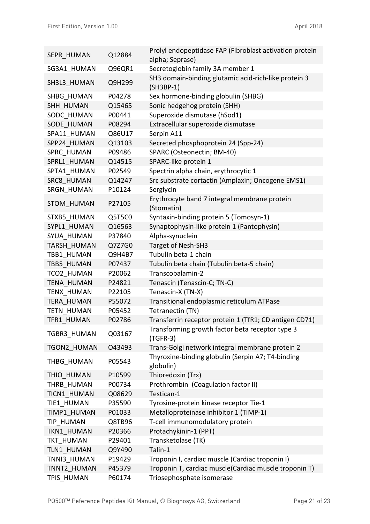| SEPR HUMAN         | Q12884 | Prolyl endopeptidase FAP (Fibroblast activation protein<br>alpha; Seprase) |
|--------------------|--------|----------------------------------------------------------------------------|
| SG3A1_HUMAN        | Q96QR1 | Secretoglobin family 3A member 1                                           |
| SH3L3 HUMAN        | Q9H299 | SH3 domain-binding glutamic acid-rich-like protein 3<br>$(SH3BP-1)$        |
| SHBG HUMAN         | P04278 | Sex hormone-binding globulin (SHBG)                                        |
| SHH_HUMAN          | Q15465 | Sonic hedgehog protein (SHH)                                               |
| SODC HUMAN         | P00441 | Superoxide dismutase (hSod1)                                               |
| SODE HUMAN         | P08294 | Extracellular superoxide dismutase                                         |
| SPA11 HUMAN        | Q86U17 | Serpin A11                                                                 |
| SPP24 HUMAN        | Q13103 | Secreted phosphoprotein 24 (Spp-24)                                        |
| SPRC HUMAN         | P09486 | SPARC (Osteonectin; BM-40)                                                 |
| SPRL1 HUMAN        | Q14515 | SPARC-like protein 1                                                       |
| SPTA1 HUMAN        | P02549 | Spectrin alpha chain, erythrocytic 1                                       |
| SRC8 HUMAN         | Q14247 | Src substrate cortactin (Amplaxin; Oncogene EMS1)                          |
| SRGN HUMAN         | P10124 | Serglycin                                                                  |
| <b>STOM HUMAN</b>  | P27105 | Erythrocyte band 7 integral membrane protein<br>(Stomatin)                 |
| STXB5_HUMAN        | Q5T5C0 | Syntaxin-binding protein 5 (Tomosyn-1)                                     |
| SYPL1 HUMAN        | Q16563 | Synaptophysin-like protein 1 (Pantophysin)                                 |
| SYUA HUMAN         | P37840 | Alpha-synuclein                                                            |
| <b>TARSH HUMAN</b> | Q7Z7G0 | Target of Nesh-SH3                                                         |
| TBB1 HUMAN         | Q9H4B7 | Tubulin beta-1 chain                                                       |
| TBB5 HUMAN         | P07437 | Tubulin beta chain (Tubulin beta-5 chain)                                  |
| TCO2 HUMAN         | P20062 | Transcobalamin-2                                                           |
| <b>TENA HUMAN</b>  | P24821 | Tenascin (Tenascin-C; TN-C)                                                |
| TENX HUMAN         | P22105 | Tenascin-X (TN-X)                                                          |
| TERA HUMAN         | P55072 | Transitional endoplasmic reticulum ATPase                                  |
| <b>TETN HUMAN</b>  | P05452 | Tetranectin (TN)                                                           |
| TFR1 HUMAN         | P02786 | Transferrin receptor protein 1 (TfR1; CD antigen CD71)                     |
| <b>TGBR3 HUMAN</b> | Q03167 | Transforming growth factor beta receptor type 3<br>$(TGFR-3)$              |
| <b>TGON2 HUMAN</b> | O43493 | Trans-Golgi network integral membrane protein 2                            |
| THBG HUMAN         | P05543 | Thyroxine-binding globulin (Serpin A7; T4-binding<br>globulin)             |
| THIO HUMAN         | P10599 | Thioredoxin (Trx)                                                          |
| THRB HUMAN         | P00734 | Prothrombin (Coagulation factor II)                                        |
| TICN1 HUMAN        | Q08629 | Testican-1                                                                 |
| TIE1 HUMAN         | P35590 | Tyrosine-protein kinase receptor Tie-1                                     |
| TIMP1 HUMAN        | P01033 | Metalloproteinase inhibitor 1 (TIMP-1)                                     |
| TIP HUMAN          | Q8TB96 | T-cell immunomodulatory protein                                            |
| TKN1 HUMAN         | P20366 | Protachykinin-1 (PPT)                                                      |
| <b>TKT HUMAN</b>   | P29401 | Transketolase (TK)                                                         |
| TLN1 HUMAN         | Q9Y490 | Talin-1                                                                    |
| TNNI3 HUMAN        | P19429 | Troponin I, cardiac muscle (Cardiac troponin I)                            |
| TNNT2 HUMAN        | P45379 | Troponin T, cardiac muscle(Cardiac muscle troponin T)                      |
| TPIS HUMAN         | P60174 | Triosephosphate isomerase                                                  |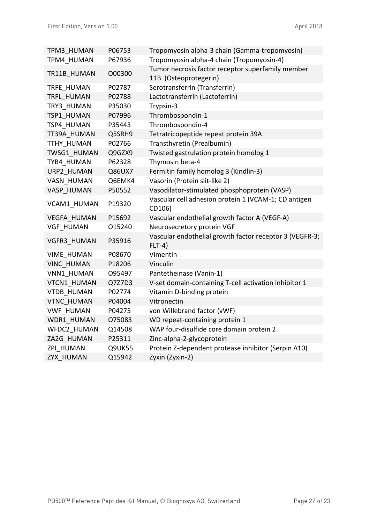| TPM3 HUMAN         | P06753 | Tropomyosin alpha-3 chain (Gamma-tropomyosin)                              |
|--------------------|--------|----------------------------------------------------------------------------|
| TPM4 HUMAN         | P67936 | Tropomyosin alpha-4 chain (Tropomyosin-4)                                  |
| TR11B HUMAN        | O00300 | Tumor necrosis factor receptor superfamily member<br>11B (Osteoprotegerin) |
| TRFE HUMAN         | P02787 | Serotransferrin (Transferrin)                                              |
| TRFL HUMAN         | P02788 | Lactotransferrin (Lactoferrin)                                             |
| TRY3 HUMAN         | P35030 | Trypsin-3                                                                  |
| TSP1 HUMAN         | P07996 | Thrombospondin-1                                                           |
| TSP4_HUMAN         | P35443 | Thrombospondin-4                                                           |
| TT39A HUMAN        | Q5SRH9 | Tetratricopeptide repeat protein 39A                                       |
| TTHY HUMAN         | P02766 | Transthyretin (Prealbumin)                                                 |
| TWSG1 HUMAN        | Q9GZX9 | Twisted gastrulation protein homolog 1                                     |
| TYB4 HUMAN         | P62328 | Thymosin beta-4                                                            |
| URP2 HUMAN         | Q86UX7 | Fermitin family homolog 3 (Kindlin-3)                                      |
| VASN HUMAN         | Q6EMK4 | Vasorin (Protein slit-like 2)                                              |
| VASP HUMAN         | P50552 | Vasodilator-stimulated phosphoprotein (VASP)                               |
| VCAM1 HUMAN        | P19320 | Vascular cell adhesion protein 1 (VCAM-1; CD antigen<br>CD106)             |
| <b>VEGFA HUMAN</b> | P15692 | Vascular endothelial growth factor A (VEGF-A)                              |
| <b>VGF HUMAN</b>   | 015240 | Neurosecretory protein VGF                                                 |
| <b>VGFR3 HUMAN</b> | P35916 | Vascular endothelial growth factor receptor 3 (VEGFR-3;<br>$FLT-4)$        |
| <b>VIME HUMAN</b>  | P08670 | Vimentin                                                                   |
| <b>VINC HUMAN</b>  | P18206 | Vinculin                                                                   |
| VNN1 HUMAN         | O95497 | Pantetheinase (Vanin-1)                                                    |
| VTCN1 HUMAN        | Q7Z7D3 | V-set domain-containing T-cell activation inhibitor 1                      |
| <b>VTDB HUMAN</b>  | P02774 | Vitamin D-binding protein                                                  |
| <b>VTNC HUMAN</b>  | P04004 | Vitronectin                                                                |
| <b>VWF HUMAN</b>   | P04275 | von Willebrand factor (vWF)                                                |
| WDR1 HUMAN         | 075083 | WD repeat-containing protein 1                                             |
| WFDC2 HUMAN        | Q14508 | WAP four-disulfide core domain protein 2                                   |
| ZA2G HUMAN         | P25311 | Zinc-alpha-2-glycoprotein                                                  |
| ZPI HUMAN          | Q9UK55 | Protein Z-dependent protease inhibitor (Serpin A10)                        |
| ZYX HUMAN          | Q15942 | Zyxin (Zyxin-2)                                                            |